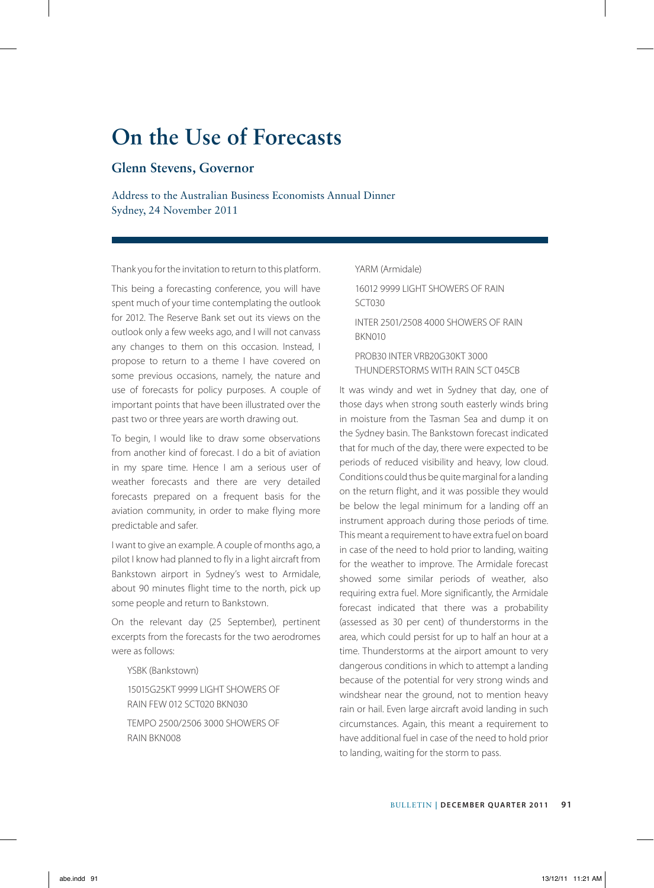# **On the Use of Forecasts**

## **Glenn Stevens, Governor**

Address to the Australian Business Economists Annual Dinner Sydney, 24 November 2011

Thank you for the invitation to return to this platform.

This being a forecasting conference, you will have spent much of your time contemplating the outlook for 2012. The Reserve Bank set out its views on the outlook only a few weeks ago, and I will not canvass any changes to them on this occasion. Instead, I propose to return to a theme I have covered on some previous occasions, namely, the nature and use of forecasts for policy purposes. A couple of important points that have been illustrated over the past two or three years are worth drawing out.

To begin, I would like to draw some observations from another kind of forecast. I do a bit of aviation in my spare time. Hence I am a serious user of weather forecasts and there are very detailed forecasts prepared on a frequent basis for the aviation community, in order to make flying more predictable and safer.

I want to give an example. A couple of months ago, a pilot I know had planned to fly in a light aircraft from Bankstown airport in Sydney's west to Armidale, about 90 minutes flight time to the north, pick up some people and return to Bankstown.

On the relevant day (25 September), pertinent excerpts from the forecasts for the two aerodromes were as follows:

YSBK (Bankstown)

15015G25KT 9999 LIGHT SHOWERS OF RAIN FEW 012 SCT020 BKN030

TEMPO 2500/2506 3000 SHOWERS OF RAIN BKN008

YARM (Armidale) 16012 9999 LIGHT SHOWERS OF RAIN SCT030 INTER 2501/2508 4000 SHOWERS OF RAIN BKN010 PROB30 INTER VRB20G30KT 3000 THUNDERSTORMS WITH RAIN SCT 045CB

It was windy and wet in Sydney that day, one of those days when strong south easterly winds bring in moisture from the Tasman Sea and dump it on the Sydney basin. The Bankstown forecast indicated that for much of the day, there were expected to be periods of reduced visibility and heavy, low cloud. Conditions could thus be quite marginal for a landing on the return flight, and it was possible they would be below the legal minimum for a landing off an instrument approach during those periods of time. This meant a requirement to have extra fuel on board in case of the need to hold prior to landing, waiting for the weather to improve. The Armidale forecast showed some similar periods of weather, also requiring extra fuel. More significantly, the Armidale forecast indicated that there was a probability (assessed as 30 per cent) of thunderstorms in the area, which could persist for up to half an hour at a time. Thunderstorms at the airport amount to very dangerous conditions in which to attempt a landing because of the potential for very strong winds and windshear near the ground, not to mention heavy rain or hail. Even large aircraft avoid landing in such circumstances. Again, this meant a requirement to have additional fuel in case of the need to hold prior to landing, waiting for the storm to pass.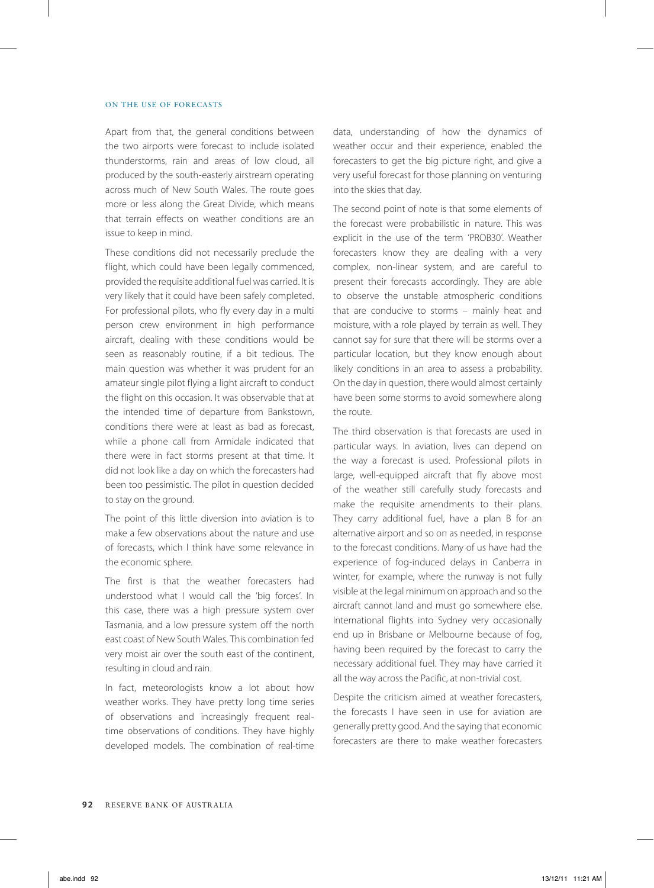### ON THE USE OF FORECASTS

Apart from that, the general conditions between the two airports were forecast to include isolated thunderstorms, rain and areas of low cloud, all produced by the south-easterly airstream operating across much of New South Wales. The route goes more or less along the Great Divide, which means that terrain effects on weather conditions are an issue to keep in mind.

These conditions did not necessarily preclude the flight, which could have been legally commenced, provided the requisite additional fuel was carried. It is very likely that it could have been safely completed. For professional pilots, who fly every day in a multi person crew environment in high performance aircraft, dealing with these conditions would be seen as reasonably routine, if a bit tedious. The main question was whether it was prudent for an amateur single pilot flying a light aircraft to conduct the flight on this occasion. It was observable that at the intended time of departure from Bankstown, conditions there were at least as bad as forecast, while a phone call from Armidale indicated that there were in fact storms present at that time. It did not look like a day on which the forecasters had been too pessimistic. The pilot in question decided to stay on the ground.

The point of this little diversion into aviation is to make a few observations about the nature and use of forecasts, which I think have some relevance in the economic sphere.

The first is that the weather forecasters had understood what I would call the 'big forces'. In this case, there was a high pressure system over Tasmania, and a low pressure system off the north east coast of New South Wales. This combination fed very moist air over the south east of the continent, resulting in cloud and rain.

In fact, meteorologists know a lot about how weather works. They have pretty long time series of observations and increasingly frequent realtime observations of conditions. They have highly developed models. The combination of real-time data, understanding of how the dynamics of weather occur and their experience, enabled the forecasters to get the big picture right, and give a very useful forecast for those planning on venturing into the skies that day.

The second point of note is that some elements of the forecast were probabilistic in nature. This was explicit in the use of the term 'PROB30'. Weather forecasters know they are dealing with a very complex, non-linear system, and are careful to present their forecasts accordingly. They are able to observe the unstable atmospheric conditions that are conducive to storms – mainly heat and moisture, with a role played by terrain as well. They cannot say for sure that there will be storms over a particular location, but they know enough about likely conditions in an area to assess a probability. On the day in question, there would almost certainly have been some storms to avoid somewhere along the route.

The third observation is that forecasts are used in particular ways. In aviation, lives can depend on the way a forecast is used. Professional pilots in large, well-equipped aircraft that fly above most of the weather still carefully study forecasts and make the requisite amendments to their plans. They carry additional fuel, have a plan B for an alternative airport and so on as needed, in response to the forecast conditions. Many of us have had the experience of fog-induced delays in Canberra in winter, for example, where the runway is not fully visible at the legal minimum on approach and so the aircraft cannot land and must go somewhere else. International flights into Sydney very occasionally end up in Brisbane or Melbourne because of fog, having been required by the forecast to carry the necessary additional fuel. They may have carried it all the way across the Pacific, at non-trivial cost.

Despite the criticism aimed at weather forecasters, the forecasts I have seen in use for aviation are generally pretty good. And the saying that economic forecasters are there to make weather forecasters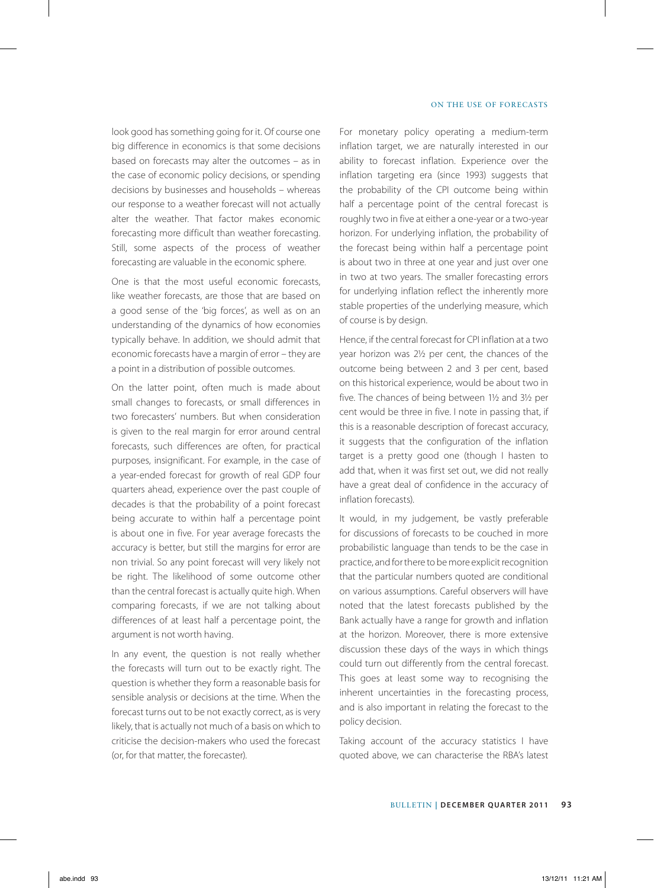look good has something going for it. Of course one big difference in economics is that some decisions based on forecasts may alter the outcomes – as in the case of economic policy decisions, or spending decisions by businesses and households – whereas our response to a weather forecast will not actually alter the weather. That factor makes economic forecasting more difficult than weather forecasting. Still, some aspects of the process of weather forecasting are valuable in the economic sphere.

One is that the most useful economic forecasts, like weather forecasts, are those that are based on a good sense of the 'big forces', as well as on an understanding of the dynamics of how economies typically behave. In addition, we should admit that economic forecasts have a margin of error – they are a point in a distribution of possible outcomes.

On the latter point, often much is made about small changes to forecasts, or small differences in two forecasters' numbers. But when consideration is given to the real margin for error around central forecasts, such differences are often, for practical purposes, insignificant. For example, in the case of a year-ended forecast for growth of real GDP four quarters ahead, experience over the past couple of decades is that the probability of a point forecast being accurate to within half a percentage point is about one in five. For year average forecasts the accuracy is better, but still the margins for error are non trivial. So any point forecast will very likely not be right. The likelihood of some outcome other than the central forecast is actually quite high. When comparing forecasts, if we are not talking about differences of at least half a percentage point, the argument is not worth having.

In any event, the question is not really whether the forecasts will turn out to be exactly right. The question is whether they form a reasonable basis for sensible analysis or decisions at the time. When the forecast turns out to be not exactly correct, as is very likely, that is actually not much of a basis on which to criticise the decision-makers who used the forecast (or, for that matter, the forecaster).

For monetary policy operating a medium-term inflation target, we are naturally interested in our ability to forecast inflation. Experience over the inflation targeting era (since 1993) suggests that the probability of the CPI outcome being within half a percentage point of the central forecast is roughly two in five at either a one-year or a two-year horizon. For underlying inflation, the probability of the forecast being within half a percentage point is about two in three at one year and just over one in two at two years. The smaller forecasting errors for underlying inflation reflect the inherently more stable properties of the underlying measure, which of course is by design.

Hence, if the central forecast for CPI inflation at a two year horizon was 2½ per cent, the chances of the outcome being between 2 and 3 per cent, based on this historical experience, would be about two in five. The chances of being between 1½ and 3½ per cent would be three in five. I note in passing that, if this is a reasonable description of forecast accuracy, it suggests that the configuration of the inflation target is a pretty good one (though I hasten to add that, when it was first set out, we did not really have a great deal of confidence in the accuracy of inflation forecasts).

It would, in my judgement, be vastly preferable for discussions of forecasts to be couched in more probabilistic language than tends to be the case in practice, and for there to be more explicit recognition that the particular numbers quoted are conditional on various assumptions. Careful observers will have noted that the latest forecasts published by the Bank actually have a range for growth and inflation at the horizon. Moreover, there is more extensive discussion these days of the ways in which things could turn out differently from the central forecast. This goes at least some way to recognising the inherent uncertainties in the forecasting process, and is also important in relating the forecast to the policy decision.

Taking account of the accuracy statistics I have quoted above, we can characterise the RBA's latest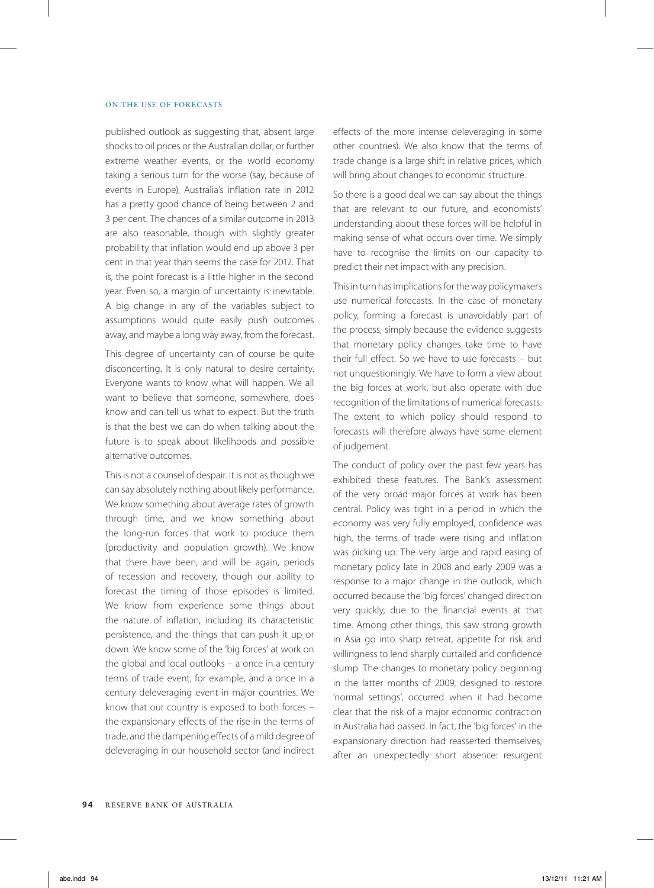#### ON THE USE OF FORECASTS

published outlook as suggesting that, absent large shocks to oil prices or the Australian dollar, or further extreme weather events, or the world economy taking a serious turn for the worse (say, because of events in Europe), Australia's inflation rate in 2012 has a pretty good chance of being between 2 and 3 per cent. The chances of a similar outcome in 2013 are also reasonable, though with slightly greater probability that inflation would end up above 3 per cent in that year than seems the case for 2012. That is, the point forecast is a little higher in the second year. Even so, a margin of uncertainty is inevitable. A big change in any of the variables subject to assumptions would quite easily push outcomes away, and maybe a long way away, from the forecast.

This degree of uncertainty can of course be quite disconcerting. It is only natural to desire certainty. Everyone wants to know what will happen. We all want to believe that someone, somewhere, does know and can tell us what to expect. But the truth is that the best we can do when talking about the future is to speak about likelihoods and possible alternative outcomes.

This is not a counsel of despair. It is not as though we can say absolutely nothing about likely performance. We know something about average rates of growth through time, and we know something about the long-run forces that work to produce them (productivity and population growth). We know that there have been, and will be again, periods of recession and recovery, though our ability to forecast the timing of those episodes is limited. We know from experience some things about the nature of inflation, including its characteristic persistence, and the things that can push it up or down. We know some of the 'big forces' at work on the global and local outlooks – a once in a century terms of trade event, for example, and a once in a century deleveraging event in major countries. We know that our country is exposed to both forces – the expansionary effects of the rise in the terms of trade, and the dampening effects of a mild degree of deleveraging in our household sector (and indirect

effects of the more intense deleveraging in some other countries). We also know that the terms of trade change is a large shift in relative prices, which will bring about changes to economic structure.

So there is a good deal we can say about the things that are relevant to our future, and economists' understanding about these forces will be helpful in making sense of what occurs over time. We simply have to recognise the limits on our capacity to predict their net impact with any precision.

This in turn has implications for the way policymakers use numerical forecasts. In the case of monetary policy, forming a forecast is unavoidably part of the process, simply because the evidence suggests that monetary policy changes take time to have their full effect. So we have to use forecasts – but not unquestioningly. We have to form a view about the big forces at work, but also operate with due recognition of the limitations of numerical forecasts. The extent to which policy should respond to forecasts will therefore always have some element of judgement.

The conduct of policy over the past few years has exhibited these features. The Bank's assessment of the very broad major forces at work has been central. Policy was tight in a period in which the economy was very fully employed, confidence was high, the terms of trade were rising and inflation was picking up. The very large and rapid easing of monetary policy late in 2008 and early 2009 was a response to a major change in the outlook, which occurred because the 'big forces' changed direction very quickly, due to the financial events at that time. Among other things, this saw strong growth in Asia go into sharp retreat, appetite for risk and willingness to lend sharply curtailed and confidence slump. The changes to monetary policy beginning in the latter months of 2009, designed to restore 'normal settings', occurred when it had become clear that the risk of a major economic contraction in Australia had passed. In fact, the 'big forces' in the expansionary direction had reasserted themselves, after an unexpectedly short absence: resurgent